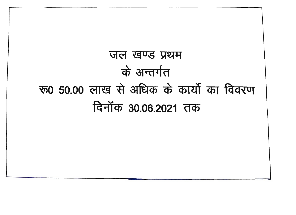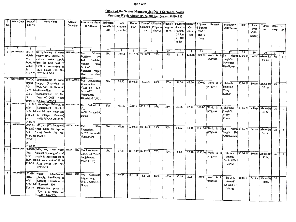## Page 1 of 2

## Office of the Senior **Manager** Jal Div-I Sector-5, Noida **Running** Work Above Rs. 50.00 Lac (as on 30.06.21)

|                         | Work Code   Manual |                         | Work Name                                      | Account      | Contractor Name            | Estimated      | Bond        | Dae of            | Date of           |                     |          | Physical Fincnaicl Payment Balance Approve |        |                       |                       |                     |                |         |           |                      |              |
|-------------------------|--------------------|-------------------------|------------------------------------------------|--------------|----------------------------|----------------|-------------|-------------------|-------------------|---------------------|----------|--------------------------------------------|--------|-----------------------|-----------------------|---------------------|----------------|---------|-----------|----------------------|--------------|
| No                      |                    | File No                 |                                                | Code No      | & Address                  | Cost (Rs in    | Amount      | Start             | Completi          | Progress            | Progress | till end of                                | Cost   |                       | Remark                | Manager/A           | Date           | Area    | Type of   | Depar Divis          |              |
|                         |                    |                         |                                                |              |                            | lac)           | (Rs in lac) |                   | on                | $(\ln \frac{9}{6})$ | (in %)   | month                                      | (Rs in | d Budget<br>$20 - 21$ |                       | M/JE Name           |                | Type    | cost      | $t$ ment $\vert$ ion |              |
|                         |                    |                         |                                                |              |                            |                |             |                   |                   |                     |          | 30 Jun                                     |        |                       |                       |                     |                | (ViU)   |           |                      |              |
|                         |                    |                         |                                                |              |                            |                |             |                   |                   |                     |          |                                            | lac)   | (Rs in                |                       |                     |                | Sector) |           |                      |              |
|                         |                    |                         |                                                |              |                            |                |             |                   |                   |                     |          | 21 (Rs                                     |        | lac)                  |                       |                     |                |         |           |                      |              |
|                         |                    |                         |                                                |              |                            |                |             |                   |                   |                     |          | in lac)                                    |        |                       |                       |                     |                |         |           |                      |              |
|                         |                    |                         |                                                |              |                            |                |             |                   |                   |                     |          |                                            |        |                       |                       |                     |                |         |           |                      |              |
| -1                      | 2                  | $\overline{\mathbf{3}}$ | 4                                              | 5            | 6                          | $\overline{7}$ | 8           | 9                 | 10                | 11                  | 12       | 13                                         | 14     | 15                    |                       |                     |                |         |           |                      |              |
|                         | 360200300500       | 185/DG                  | Strengthening of water                         | 111036600010 | M/s<br>Jaishree            | <b>NA</b>      | 140.51      | 23.12.20          | 22.08.21          | 25%                 | 5%       | 17.13                                      | 123.38 | 200.00                | 16                    | 17                  | 18             | 19      | 20        | 21                   | 22           |
|                         |                    | M(Jal)                  | 1supply (P/L internal &                        |              | <b>Buildcon</b><br>Pvt     |                |             |                   |                   |                     |          |                                            |        |                       | Work is               | n Sh                | Nathu 30.06.21 | Sector  | Above Rs  | Jal                  | $\mathbf{1}$ |
|                         |                    | AO/                     | external water supply                          |              | 3A/84A<br>.td.             |                |             |                   |                   |                     |          |                                            |        |                       | progress.             | Singh/Sh            |                |         | 50 lac    |                      |              |
|                         |                    |                         | Sr.M. Jalline for tube well &                  |              | Aakash<br>Plaza            |                |             |                   |                   |                     |          |                                            |        |                       |                       | Dayanand            |                |         |           |                      |              |
|                         |                    | 1/20-21                 | UGR in sector-162 &                            |              | Sector-5                   |                |             |                   |                   |                     |          |                                            |        |                       |                       | Upadhyay/           |                |         |           |                      |              |
|                         |                    | dt                      | 163) Noida Job No-                             |              | Rajender Nagar             |                |             |                   |                   |                     |          |                                            |        |                       |                       |                     |                |         |           |                      |              |
|                         |                    |                         | 23.12.20 107/18-19 Jai-4                       |              | Distt. Ghaziabad           |                |             |                   |                   |                     |          |                                            |        |                       |                       |                     |                |         |           |                      |              |
|                         |                    |                         |                                                |              | (IP)                       |                |             |                   |                   |                     |          |                                            |        |                       |                       |                     |                |         |           |                      |              |
| $\overline{2}$          | 360200300500       | 219/DG                  | Strengthening of water 111036600010            |              | M/s Aquaspace              | <b>NA</b>      | 96.92       |                   |                   |                     |          |                                            |        |                       |                       |                     |                |         |           |                      |              |
|                         |                    | M(Jal)                  | supply (Repairing of                           |              | Construction               |                |             |                   | 19.02.21 18.02.22 | 60%                 | 55%      | 54.56                                      | 42.36  | 200.00                | Work is               | in Sh Nathu         | 30.06.21       | Sector  | Above Rs  | Jal                  | $\mathbf{1}$ |
|                         |                    | AO/                     | RCC OHT in sector-58                           |              | Co.H No- 322,              |                |             |                   |                   |                     |          |                                            |        |                       | progress.             | Singh/Sh            |                |         | 50 lac    |                      |              |
|                         |                    | Sr.M. Jal               | dismentling)                                   |              | $Sector-12$                |                |             |                   |                   |                     |          |                                            |        |                       |                       | Vinay               |                |         |           |                      |              |
|                         |                    | $1/20 - 21$             | reconstruction of Top                          |              | Vasundhara                 |                |             |                   |                   |                     |          |                                            |        |                       |                       | Kumar               |                |         |           |                      |              |
|                         |                    | dt                      | Dom of OHT) Noida                              |              |                            |                |             |                   |                   |                     |          |                                            |        |                       |                       |                     |                |         |           |                      |              |
|                         |                    |                         | 19.02.21 Job No-36/20-21                       |              | Ghaziabad (UP)             |                |             |                   |                   |                     |          |                                            |        |                       |                       |                     |                |         |           |                      |              |
| $\overline{\mathbf{3}}$ | 36080010010        |                         | 01/G.M./D/o village (Relaying &                |              | 333036900010 M/s Prakash & |                |             |                   |                   |                     |          |                                            |        |                       |                       |                     |                |         |           |                      |              |
|                         |                    | AO/                     | Replacement chocked                            |              |                            | <b>NA</b>      | 62.36       |                   | 04.05.21 03.11.22 | 10%                 | 35%      | 20.26                                      | 42.10  | 550.00                | Work is               | Sh Nathu            | 30.06.21       | Village | Above Rs  | Jal                  | $\mathbf{1}$ |
|                         |                    |                         | Sr.M. Jalland P/L new water line               |              | Co.                        |                |             |                   |                   |                     |          |                                            |        |                       | progress.             | Singh/Sh            |                |         | 50 lac    |                      |              |
|                         |                    |                         | I/21-22 in village- Mamura)                    |              | A-58 Sector-19,            |                |             |                   |                   |                     |          |                                            |        |                       |                       | Vinay               |                |         |           |                      |              |
|                         |                    |                         |                                                |              | Noida                      |                |             |                   |                   |                     |          |                                            |        |                       |                       | Kumar               |                |         |           |                      |              |
|                         |                    | dt                      | Noida Job No-28/20-21                          |              |                            |                |             |                   |                   |                     |          |                                            |        |                       |                       |                     |                |         |           |                      |              |
| 4                       | 360701300400       | 04.05.21                |                                                |              |                            |                |             |                   |                   |                     |          |                                            |        |                       |                       |                     |                |         |           |                      |              |
|                         |                    |                         | 207/DG M/o, w/s (C/o Sumpwell 222036114010 M/s |              | Shiv                       | <b>NA</b>      | 66.88       | 02.02.21 01.08.21 |                   | 95%                 | 90%      | 52.72                                      | 14.16  |                       | 1050.00 Work is in Sh |                     | Nathu 30.06.21 |         |           |                      |              |
|                         |                    |                         | M (Jal) /near DND on express                   |              | <b>Enterprises</b>         |                |             |                   |                   |                     |          |                                            |        |                       | progress.             |                     |                | Sector  | Above Rsl | Jal                  | $\mathbf{1}$ |
|                         |                    | AO                      | way) Noida Job No-                             |              | A-572 Sector-46            |                |             |                   |                   |                     |          |                                            |        |                       |                       | Singh/<br><b>Sh</b> |                |         | 50 lac    |                      |              |
|                         |                    |                         | Sr.M. Jal 25/20-21                             |              | Noida (UP)                 |                |             |                   |                   |                     |          |                                            |        |                       |                       | Amit Kumar          |                |         |           |                      |              |
|                         |                    | $1/20 - 21$             |                                                |              |                            |                |             |                   |                   |                     |          |                                            |        |                       |                       |                     |                |         |           |                      |              |
|                         |                    | dı                      |                                                |              |                            |                |             |                   |                   |                     |          |                                            |        |                       |                       |                     |                |         |           |                      |              |
|                         | 5 360701300400     | 02.02.21                |                                                |              |                            |                |             |                   |                   |                     |          |                                            |        |                       |                       |                     |                |         |           |                      |              |
|                         |                    |                         | 86/DGM M/o, w/s (two years                     |              | 222036114010 M/s Raw Water | NA             | 59.31       |                   | 10.12.19 09.12.21 | 70%                 | 10%      | 6.83                                       | 52.48  |                       |                       |                     |                |         |           |                      |              |
|                         |                    | (Jal)                   | annual repairing of bowl                       |              | Const. Co. 90/22           |                |             |                   |                   |                     |          |                                            |        |                       | 1050.00 Work is in    | Sh AK               | 30.06.21       | Sector  | Above Rs  | Jal                  | $\mathbf{1}$ |
|                         |                    | AO/                     | assly & tube shaft set of                      |              | Punjabipura                |                |             |                   |                   |                     |          |                                            |        |                       | progress.             | Anand/              |                |         | 50 lac    |                      |              |
|                         |                    |                         | Sr.M. Jahnet work sector-121 &                 |              | Meerut (UP)                |                |             |                   |                   |                     |          |                                            |        |                       |                       | Sh Anil Kr          |                |         |           |                      |              |
|                         |                    | V19-20                  | 122) Noida Job No-                             |              |                            |                |             |                   |                   |                     |          |                                            |        |                       |                       | Verma               |                |         |           |                      |              |
|                         |                    |                         | 199/18-19                                      |              |                            |                |             |                   |                   |                     |          |                                            |        |                       |                       |                     |                |         |           |                      |              |
|                         |                    |                         |                                                |              |                            |                |             |                   |                   |                     |          |                                            |        |                       |                       |                     |                |         |           |                      |              |
| 6                       | 360701400800 25/GM |                         | Water<br>Chlorination                          |              | 222036115010 M/s Hydrotech | <b>NA</b>      | 52.70       |                   | 19.11.18 18.11.21 | 85%                 |          |                                            |        |                       |                       |                     |                |         |           |                      |              |
|                         |                    | $(Jal)$ /               | (Supply, Installation &                        |              | Engineering                |                |             |                   |                   |                     | 61%      | 32.19                                      | 20.51  | 150.00                | Work is in            | Sh AK               | 30.06.21       | Sector  | Above Rs  | Jal                  | $\mathbf{I}$ |
|                         |                    | AO/                     | Running Operation of                           |              | G-310 Sector-63.           |                |             |                   |                   |                     |          |                                            |        |                       | progress.             | Anand/              |                |         | 50 lac    |                      |              |
|                         |                    |                         | Sr.M. Jal chloromak-1500                       |              | Noida                      |                |             |                   |                   |                     |          |                                            |        |                       |                       | Sh Anil Kr          |                |         |           |                      |              |
|                         |                    | V18-19                  | chlorination plant                             |              |                            |                |             |                   |                   |                     |          |                                            |        |                       |                       | Verma               |                |         |           |                      |              |
|                         |                    |                         | UGR -115) Noida Job                            |              |                            |                |             |                   |                   |                     |          |                                            |        |                       |                       |                     |                |         |           |                      |              |
|                         |                    |                         | No-41/18-19(ET)                                |              |                            |                |             |                   |                   |                     |          |                                            |        |                       |                       |                     |                |         |           |                      |              |
|                         |                    |                         |                                                |              |                            |                |             |                   |                   |                     |          |                                            |        |                       |                       |                     |                |         |           |                      |              |